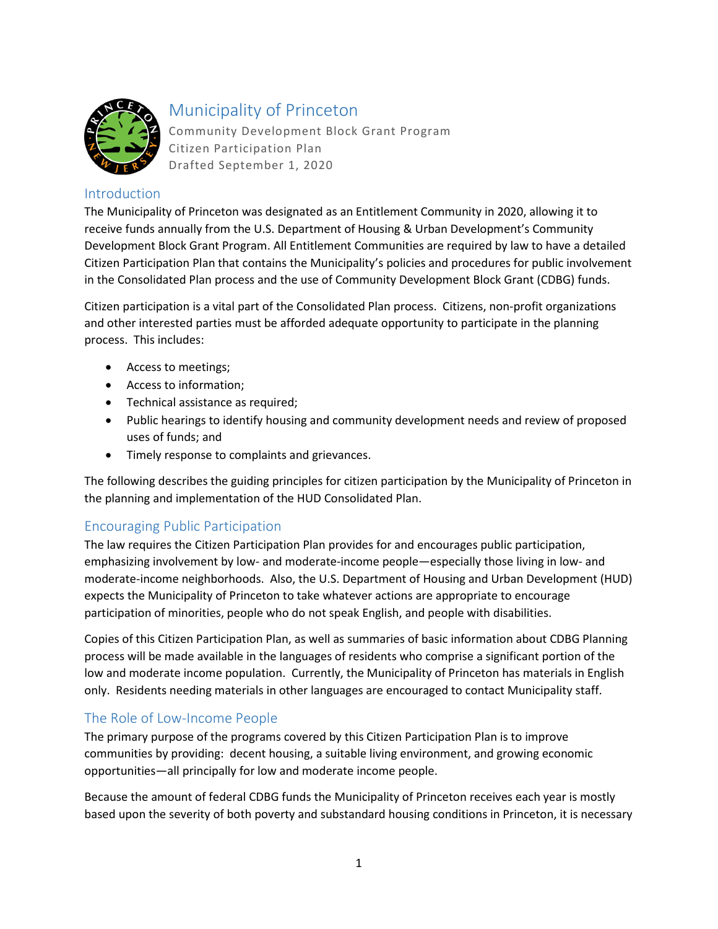

# Municipality of Princeton

Community Development Block Grant Program Citizen Participation Plan Drafted September 1, 2020

#### Introduction

The Municipality of Princeton was designated as an Entitlement Community in 2020, allowing it to receive funds annually from the U.S. Department of Housing & Urban Development's Community Development Block Grant Program. All Entitlement Communities are required by law to have a detailed Citizen Participation Plan that contains the Municipality's policies and procedures for public involvement in the Consolidated Plan process and the use of Community Development Block Grant (CDBG) funds.

Citizen participation is a vital part of the Consolidated Plan process. Citizens, non-profit organizations and other interested parties must be afforded adequate opportunity to participate in the planning process. This includes:

- Access to meetings;
- Access to information;
- Technical assistance as required;
- Public hearings to identify housing and community development needs and review of proposed uses of funds; and
- Timely response to complaints and grievances.

The following describes the guiding principles for citizen participation by the Municipality of Princeton in the planning and implementation of the HUD Consolidated Plan.

# Encouraging Public Participation

The law requires the Citizen Participation Plan provides for and encourages public participation, emphasizing involvement by low- and moderate-income people—especially those living in low- and moderate-income neighborhoods. Also, the U.S. Department of Housing and Urban Development (HUD) expects the Municipality of Princeton to take whatever actions are appropriate to encourage participation of minorities, people who do not speak English, and people with disabilities.

Copies of this Citizen Participation Plan, as well as summaries of basic information about CDBG Planning process will be made available in the languages of residents who comprise a significant portion of the low and moderate income population. Currently, the Municipality of Princeton has materials in English only. Residents needing materials in other languages are encouraged to contact Municipality staff.

# The Role of Low-Income People

The primary purpose of the programs covered by this Citizen Participation Plan is to improve communities by providing: decent housing, a suitable living environment, and growing economic opportunities—all principally for low and moderate income people.

Because the amount of federal CDBG funds the Municipality of Princeton receives each year is mostly based upon the severity of both poverty and substandard housing conditions in Princeton, it is necessary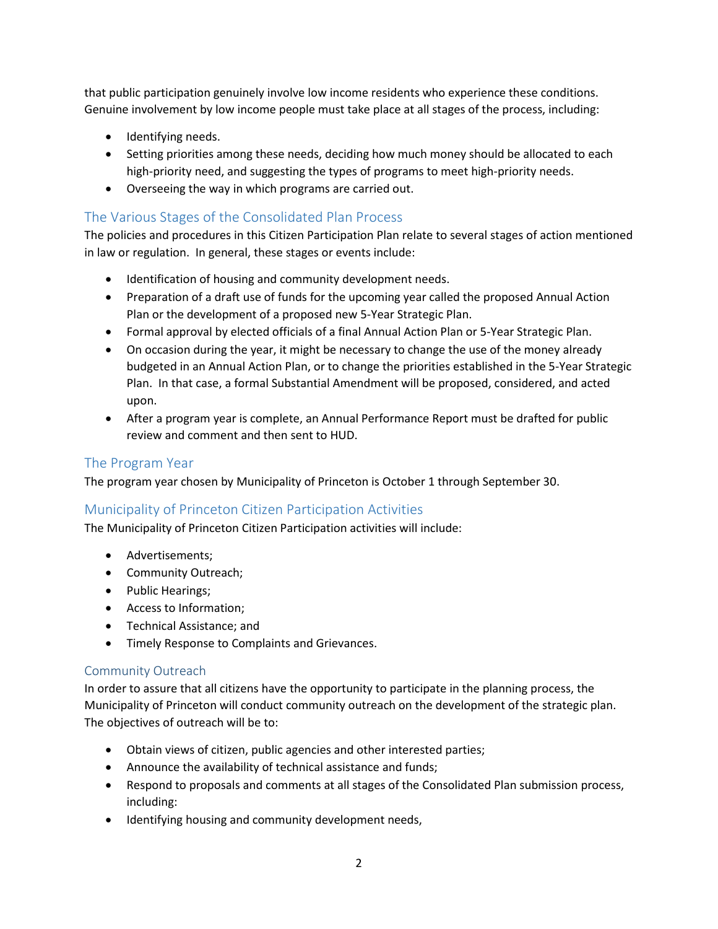that public participation genuinely involve low income residents who experience these conditions. Genuine involvement by low income people must take place at all stages of the process, including:

- Identifying needs.
- Setting priorities among these needs, deciding how much money should be allocated to each high-priority need, and suggesting the types of programs to meet high-priority needs.
- Overseeing the way in which programs are carried out.

### The Various Stages of the Consolidated Plan Process

The policies and procedures in this Citizen Participation Plan relate to several stages of action mentioned in law or regulation. In general, these stages or events include:

- Identification of housing and community development needs.
- Preparation of a draft use of funds for the upcoming year called the proposed Annual Action Plan or the development of a proposed new 5-Year Strategic Plan.
- Formal approval by elected officials of a final Annual Action Plan or 5-Year Strategic Plan.
- On occasion during the year, it might be necessary to change the use of the money already budgeted in an Annual Action Plan, or to change the priorities established in the 5-Year Strategic Plan. In that case, a formal Substantial Amendment will be proposed, considered, and acted upon.
- After a program year is complete, an Annual Performance Report must be drafted for public review and comment and then sent to HUD.

### The Program Year

The program year chosen by Municipality of Princeton is October 1 through September 30.

# Municipality of Princeton Citizen Participation Activities

The Municipality of Princeton Citizen Participation activities will include:

- Advertisements;
- Community Outreach;
- Public Hearings;
- Access to Information;
- Technical Assistance; and
- Timely Response to Complaints and Grievances.

#### Community Outreach

In order to assure that all citizens have the opportunity to participate in the planning process, the Municipality of Princeton will conduct community outreach on the development of the strategic plan. The objectives of outreach will be to:

- Obtain views of citizen, public agencies and other interested parties;
- Announce the availability of technical assistance and funds;
- Respond to proposals and comments at all stages of the Consolidated Plan submission process, including:
- Identifying housing and community development needs,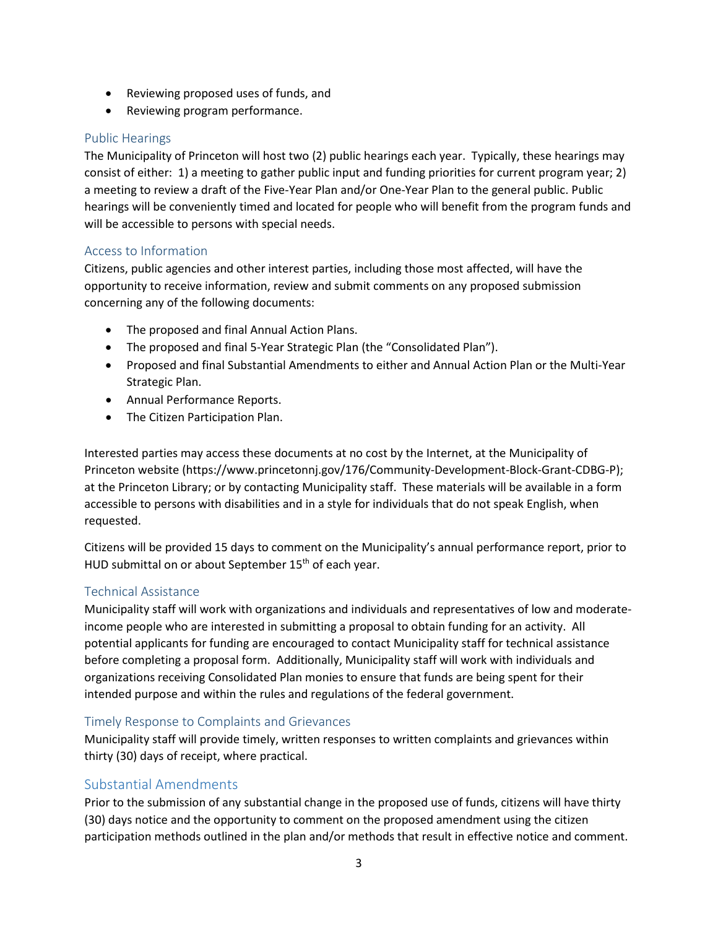- Reviewing proposed uses of funds, and
- Reviewing program performance.

### Public Hearings

The Municipality of Princeton will host two (2) public hearings each year. Typically, these hearings may consist of either: 1) a meeting to gather public input and funding priorities for current program year; 2) a meeting to review a draft of the Five-Year Plan and/or One-Year Plan to the general public. Public hearings will be conveniently timed and located for people who will benefit from the program funds and will be accessible to persons with special needs.

#### Access to Information

Citizens, public agencies and other interest parties, including those most affected, will have the opportunity to receive information, review and submit comments on any proposed submission concerning any of the following documents:

- The proposed and final Annual Action Plans.
- The proposed and final 5-Year Strategic Plan (the "Consolidated Plan").
- Proposed and final Substantial Amendments to either and Annual Action Plan or the Multi-Year Strategic Plan.
- Annual Performance Reports.
- The Citizen Participation Plan.

Interested parties may access these documents at no cost by the Internet, at the Municipality of Princeton website (https://www.princetonnj.gov/176/Community-Development-Block-Grant-CDBG-P); at the Princeton Library; or by contacting Municipality staff. These materials will be available in a form accessible to persons with disabilities and in a style for individuals that do not speak English, when requested.

Citizens will be provided 15 days to comment on the Municipality's annual performance report, prior to HUD submittal on or about September  $15<sup>th</sup>$  of each year.

#### Technical Assistance

Municipality staff will work with organizations and individuals and representatives of low and moderateincome people who are interested in submitting a proposal to obtain funding for an activity. All potential applicants for funding are encouraged to contact Municipality staff for technical assistance before completing a proposal form. Additionally, Municipality staff will work with individuals and organizations receiving Consolidated Plan monies to ensure that funds are being spent for their intended purpose and within the rules and regulations of the federal government.

#### Timely Response to Complaints and Grievances

Municipality staff will provide timely, written responses to written complaints and grievances within thirty (30) days of receipt, where practical.

# Substantial Amendments

Prior to the submission of any substantial change in the proposed use of funds, citizens will have thirty (30) days notice and the opportunity to comment on the proposed amendment using the citizen participation methods outlined in the plan and/or methods that result in effective notice and comment.